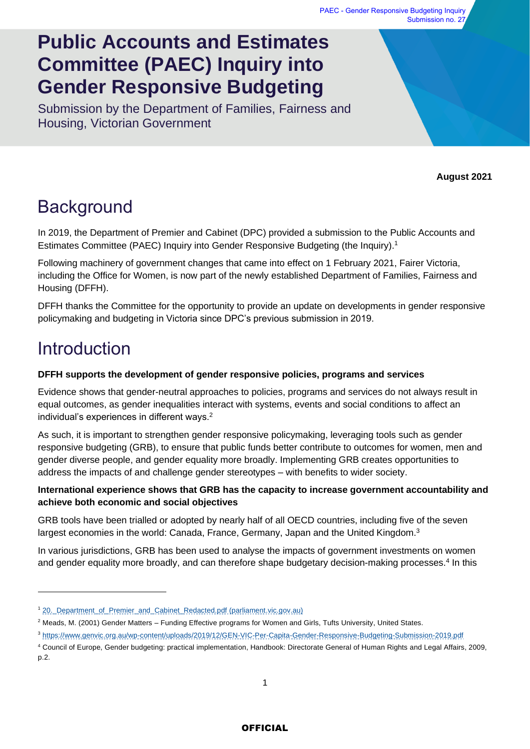# **Public Accounts and Estimates Committee (PAEC) Inquiry into Gender Responsive Budgeting**

Submission by the Department of Families, Fairness and Housing, Victorian Government

**August 2021**

# **Background**

In 2019, the Department of Premier and Cabinet (DPC) provided a submission to the Public Accounts and Estimates Committee (PAEC) Inquiry into Gender Responsive Budgeting (the Inquiry).<sup>1</sup>

Following machinery of government changes that came into effect on 1 February 2021, Fairer Victoria, including the Office for Women, is now part of the newly established Department of Families, Fairness and Housing (DFFH).

DFFH thanks the Committee for the opportunity to provide an update on developments in gender responsive policymaking and budgeting in Victoria since DPC's previous submission in 2019.

# Introduction

### **DFFH supports the development of gender responsive policies, programs and services**

Evidence shows that gender-neutral approaches to policies, programs and services do not always result in equal outcomes, as gender inequalities interact with systems, events and social conditions to affect an individual's experiences in different ways.<sup>2</sup>

As such, it is important to strengthen gender responsive policymaking, leveraging tools such as gender responsive budgeting (GRB), to ensure that public funds better contribute to outcomes for women, men and gender diverse people, and gender equality more broadly. Implementing GRB creates opportunities to address the impacts of and challenge gender stereotypes – with benefits to wider society.

### **International experience shows that GRB has the capacity to increase government accountability and achieve both economic and social objectives**

GRB tools have been trialled or adopted by nearly half of all OECD countries, including five of the seven largest economies in the world: Canada, France, Germany, Japan and the United Kingdom.<sup>3</sup>

In various jurisdictions, GRB has been used to analyse the impacts of government investments on women and gender equality more broadly, and can therefore shape budgetary decision-making processes.<sup>4</sup> In this

<sup>1</sup> [20.\\_Department\\_of\\_Premier\\_and\\_Cabinet\\_Redacted.pdf \(parliament.vic.gov.au\)](https://www.parliament.vic.gov.au/images/stories/committees/paec/Inquiry_into_Gender_Responsive_Budgeting/Submissions/20._Department_of_Premier_and_Cabinet_Redacted.pdf)

 $2$  Meads, M. (2001) Gender Matters – Funding Effective programs for Women and Girls, Tufts University, United States.

<sup>3</sup> <https://www.genvic.org.au/wp-content/uploads/2019/12/GEN-VIC-Per-Capita-Gender-Responsive-Budgeting-Submission-2019.pdf>

<sup>4</sup> Council of Europe, Gender budgeting: practical implementation, Handbook: Directorate General of Human Rights and Legal Affairs, 2009, p.2.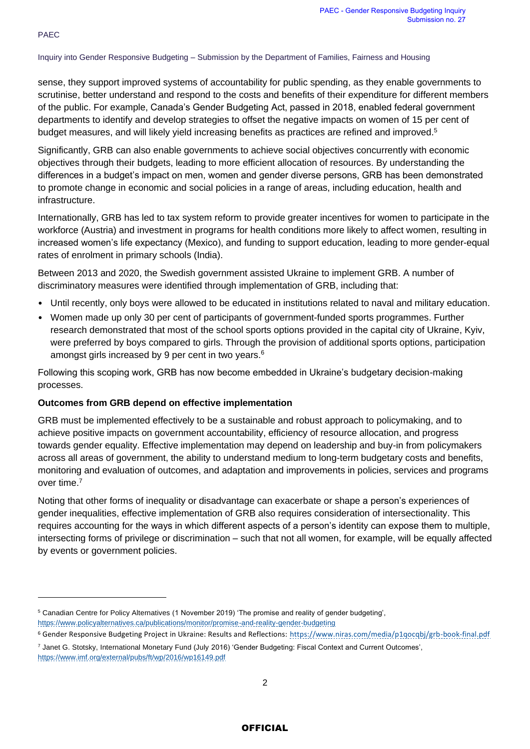sense, they support improved systems of accountability for public spending, as they enable governments to scrutinise, better understand and respond to the costs and benefits of their expenditure for different members of the public. For example, Canada's Gender Budgeting Act, passed in 2018, enabled federal government departments to identify and develop strategies to offset the negative impacts on women of 15 per cent of budget measures, and will likely yield increasing benefits as practices are refined and improved.<sup>5</sup>

Significantly, GRB can also enable governments to achieve social objectives concurrently with economic objectives through their budgets, leading to more efficient allocation of resources. By understanding the differences in a budget's impact on men, women and gender diverse persons, GRB has been demonstrated to promote change in economic and social policies in a range of areas, including education, health and infrastructure.

Internationally, GRB has led to tax system reform to provide greater incentives for women to participate in the workforce (Austria) and investment in programs for health conditions more likely to affect women, resulting in increased women's life expectancy (Mexico), and funding to support education, leading to more gender-equal rates of enrolment in primary schools (India).

Between 2013 and 2020, the Swedish government assisted Ukraine to implement GRB. A number of discriminatory measures were identified through implementation of GRB, including that:

- Until recently, only boys were allowed to be educated in institutions related to naval and military education.
- Women made up only 30 per cent of participants of government-funded sports programmes. Further research demonstrated that most of the school sports options provided in the capital city of Ukraine, Kyiv, were preferred by boys compared to girls. Through the provision of additional sports options, participation amongst girls increased by 9 per cent in two years.<sup>6</sup>

Following this scoping work, GRB has now become embedded in Ukraine's budgetary decision-making processes.

#### **Outcomes from GRB depend on effective implementation**

GRB must be implemented effectively to be a sustainable and robust approach to policymaking, and to achieve positive impacts on government accountability, efficiency of resource allocation, and progress towards gender equality. Effective implementation may depend on leadership and buy-in from policymakers across all areas of government, the ability to understand medium to long-term budgetary costs and benefits, monitoring and evaluation of outcomes, and adaptation and improvements in policies, services and programs over time.<sup>7</sup>

Noting that other forms of inequality or disadvantage can exacerbate or shape a person's experiences of gender inequalities, effective implementation of GRB also requires consideration of intersectionality. This requires accounting for the ways in which different aspects of a person's identity can expose them to multiple, intersecting forms of privilege or discrimination – such that not all women, for example, will be equally affected by events or government policies.

<sup>5</sup> Canadian Centre for Policy Alternatives (1 November 2019) 'The promise and reality of gender budgeting',

<https://www.policyalternatives.ca/publications/monitor/promise-and-reality-gender-budgeting>

<sup>6</sup> Gender Responsive Budgeting Project in Ukraine: Results and Reflections:<https://www.niras.com/media/p1qocqbj/grb-book-final.pdf>

<sup>7</sup> Janet G. Stotsky, International Monetary Fund (July 2016) 'Gender Budgeting: Fiscal Context and Current Outcomes', <https://www.imf.org/external/pubs/ft/wp/2016/wp16149.pdf>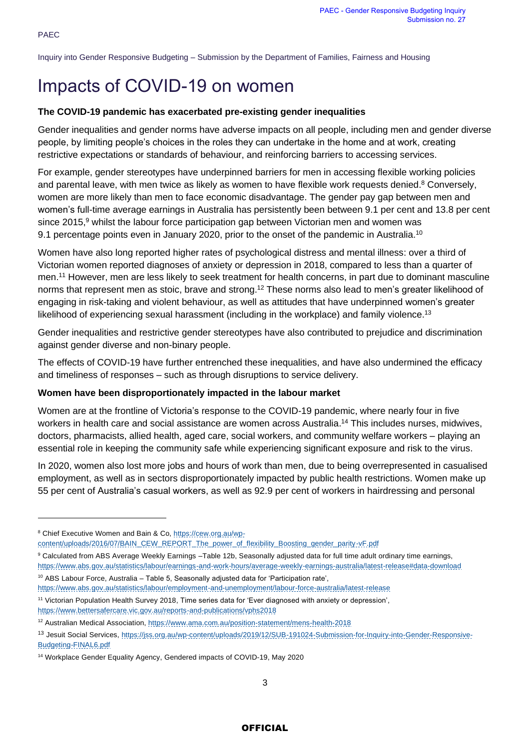# Impacts of COVID-19 on women

#### **The COVID-19 pandemic has exacerbated pre-existing gender inequalities**

Gender inequalities and gender norms have adverse impacts on all people, including men and gender diverse people, by limiting people's choices in the roles they can undertake in the home and at work, creating restrictive expectations or standards of behaviour, and reinforcing barriers to accessing services.

For example, gender stereotypes have underpinned barriers for men in accessing flexible working policies and parental leave, with men twice as likely as women to have flexible work requests denied.<sup>8</sup> Conversely, women are more likely than men to face economic disadvantage. The gender pay gap between men and women's full-time average earnings in Australia has persistently been between 9.1 per cent and 13.8 per cent since 2015.<sup>9</sup> whilst the labour force participation gap between Victorian men and women was 9.1 percentage points even in January 2020, prior to the onset of the pandemic in Australia.<sup>10</sup>

Women have also long reported higher rates of psychological distress and mental illness: over a third of Victorian women reported diagnoses of anxiety or depression in 2018, compared to less than a quarter of men. <sup>11</sup> However, men are less likely to seek treatment for health concerns, in part due to dominant masculine norms that represent men as stoic, brave and strong.<sup>12</sup> These norms also lead to men's greater likelihood of engaging in risk-taking and violent behaviour, as well as attitudes that have underpinned women's greater likelihood of experiencing sexual harassment (including in the workplace) and family violence.<sup>13</sup>

Gender inequalities and restrictive gender stereotypes have also contributed to prejudice and discrimination against gender diverse and non-binary people.

The effects of COVID-19 have further entrenched these inequalities, and have also undermined the efficacy and timeliness of responses – such as through disruptions to service delivery.

#### **Women have been disproportionately impacted in the labour market**

Women are at the frontline of Victoria's response to the COVID-19 pandemic, where nearly four in five workers in health care and social assistance are women across Australia.<sup>14</sup> This includes nurses, midwives, doctors, pharmacists, allied health, aged care, social workers, and community welfare workers – playing an essential role in keeping the community safe while experiencing significant exposure and risk to the virus.

In 2020, women also lost more jobs and hours of work than men, due to being overrepresented in casualised employment, as well as in sectors disproportionately impacted by public health restrictions. Women make up 55 per cent of Australia's casual workers, as well as 92.9 per cent of workers in hairdressing and personal

<https://www.bettersafercare.vic.gov.au/reports-and-publications/vphs2018>

### **OFFICIAL**

<sup>&</sup>lt;sup>8</sup> Chief Executive Women and Bain & Co, [https://cew.org.au/wp-](https://cew.org.au/wp-content/uploads/2016/07/BAIN_CEW_REPORT_The_power_of_flexibility_Boosting_gender_parity-vF.pdf)

[content/uploads/2016/07/BAIN\\_CEW\\_REPORT\\_The\\_power\\_of\\_flexibility\\_Boosting\\_gender\\_parity-vF.pdf](https://cew.org.au/wp-content/uploads/2016/07/BAIN_CEW_REPORT_The_power_of_flexibility_Boosting_gender_parity-vF.pdf)

<sup>9</sup> Calculated from ABS Average Weekly Earnings –Table 12b, Seasonally adjusted data for full time adult ordinary time earnings,

<https://www.abs.gov.au/statistics/labour/earnings-and-work-hours/average-weekly-earnings-australia/latest-release#data-download> <sup>10</sup> ABS Labour Force, Australia - Table 5, Seasonally adjusted data for 'Participation rate',

<https://www.abs.gov.au/statistics/labour/employment-and-unemployment/labour-force-australia/latest-release>

<sup>11</sup> Victorian Population Health Survey 2018, Time series data for 'Ever diagnosed with anxiety or depression',

<sup>12</sup> Australian Medical Association[, https://www.ama.com.au/position-statement/mens-health-2018](https://www.ama.com.au/position-statement/mens-health-2018)

<sup>13</sup> Jesuit Social Services[, https://jss.org.au/wp-content/uploads/2019/12/SUB-191024-Submission-for-Inquiry-into-Gender-Responsive-](https://jss.org.au/wp-content/uploads/2019/12/SUB-191024-Submission-for-Inquiry-into-Gender-Responsive-Budgeting-FINAL6.pdf)[Budgeting-FINAL6.pdf](https://jss.org.au/wp-content/uploads/2019/12/SUB-191024-Submission-for-Inquiry-into-Gender-Responsive-Budgeting-FINAL6.pdf)

<sup>14</sup> Workplace Gender Equality Agency, Gendered impacts of COVID-19, May 2020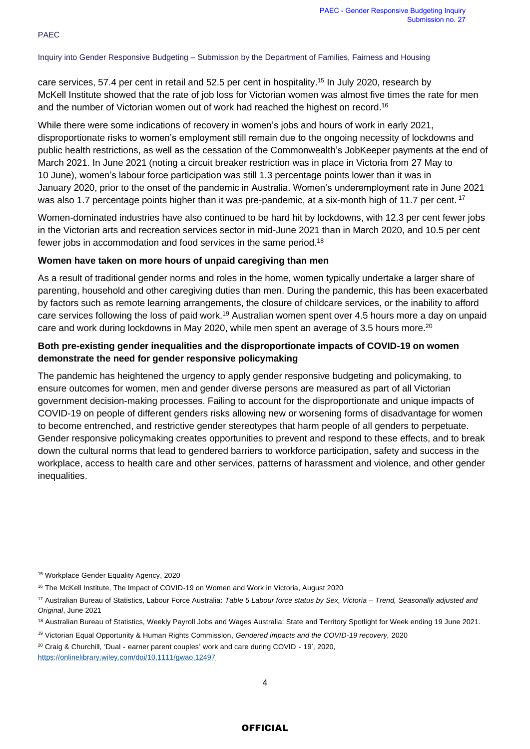care services, 57.4 per cent in retail and 52.5 per cent in hospitality.<sup>15</sup> In July 2020, research by McKell Institute showed that the rate of job loss for Victorian women was almost five times the rate for men and the number of Victorian women out of work had reached the highest on record.<sup>16</sup>

While there were some indications of recovery in women's jobs and hours of work in early 2021, disproportionate risks to women's employment still remain due to the ongoing necessity of lockdowns and public health restrictions, as well as the cessation of the Commonwealth's JobKeeper payments at the end of March 2021. In June 2021 (noting a circuit breaker restriction was in place in Victoria from 27 May to 10 June), women's labour force participation was still 1.3 percentage points lower than it was in January 2020, prior to the onset of the pandemic in Australia. Women's underemployment rate in June 2021 was also 1.7 percentage points higher than it was pre-pandemic, at a six-month high of 11.7 per cent. <sup>17</sup>

Women-dominated industries have also continued to be hard hit by lockdowns, with 12.3 per cent fewer jobs in the Victorian arts and recreation services sector in mid-June 2021 than in March 2020, and 10.5 per cent fewer jobs in accommodation and food services in the same period.<sup>18</sup>

#### **Women have taken on more hours of unpaid caregiving than men**

As a result of traditional gender norms and roles in the home, women typically undertake a larger share of parenting, household and other caregiving duties than men. During the pandemic, this has been exacerbated by factors such as remote learning arrangements, the closure of childcare services, or the inability to afford care services following the loss of paid work.<sup>19</sup> Australian women spent over 4.5 hours more a day on unpaid care and work during lockdowns in May 2020, while men spent an average of 3.5 hours more.<sup>20</sup>

### **Both pre-existing gender inequalities and the disproportionate impacts of COVID-19 on women demonstrate the need for gender responsive policymaking**

The pandemic has heightened the urgency to apply gender responsive budgeting and policymaking, to ensure outcomes for women, men and gender diverse persons are measured as part of all Victorian government decision-making processes. Failing to account for the disproportionate and unique impacts of COVID-19 on people of different genders risks allowing new or worsening forms of disadvantage for women to become entrenched, and restrictive gender stereotypes that harm people of all genders to perpetuate. Gender responsive policymaking creates opportunities to prevent and respond to these effects, and to break down the cultural norms that lead to gendered barriers to workforce participation, safety and success in the workplace, access to health care and other services, patterns of harassment and violence, and other gender inequalities.

<sup>20</sup> Craig & Churchill, 'Dual - earner parent couples' work and care during COVID - 19', 2020,

<https://onlinelibrary.wiley.com/doi/10.1111/gwao.12497>

<sup>15</sup> Workplace Gender Equality Agency, 2020

<sup>&</sup>lt;sup>16</sup> The McKell Institute, The Impact of COVID-19 on Women and Work in Victoria, August 2020

<sup>17</sup> Australian Bureau of Statistics, Labour Force Australia: *Table 5 Labour force status by Sex, Victoria – Trend, Seasonally adjusted and Original*, June 2021

<sup>18</sup> Australian Bureau of Statistics, Weekly Payroll Jobs and Wages Australia: State and Territory Spotlight for Week ending 19 June 2021.

<sup>19</sup> Victorian Equal Opportunity & Human Rights Commission, *Gendered impacts and the COVID-19 recovery,* 2020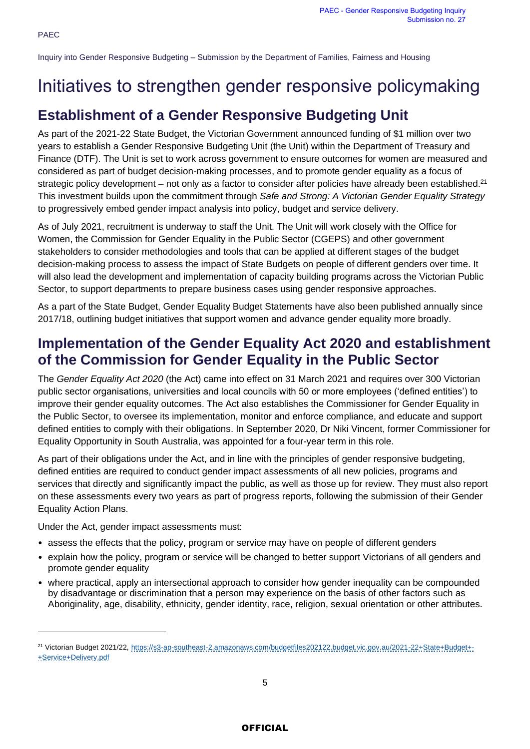## Initiatives to strengthen gender responsive policymaking

### **Establishment of a Gender Responsive Budgeting Unit**

As part of the 2021-22 State Budget, the Victorian Government announced funding of \$1 million over two years to establish a Gender Responsive Budgeting Unit (the Unit) within the Department of Treasury and Finance (DTF). The Unit is set to work across government to ensure outcomes for women are measured and considered as part of budget decision-making processes, and to promote gender equality as a focus of strategic policy development – not only as a factor to consider after policies have already been established.<sup>21</sup> This investment builds upon the commitment through *Safe and Strong: A Victorian Gender Equality Strategy*  to progressively embed gender impact analysis into policy, budget and service delivery.

As of July 2021, recruitment is underway to staff the Unit. The Unit will work closely with the Office for Women, the Commission for Gender Equality in the Public Sector (CGEPS) and other government stakeholders to consider methodologies and tools that can be applied at different stages of the budget decision-making process to assess the impact of State Budgets on people of different genders over time. It will also lead the development and implementation of capacity building programs across the Victorian Public Sector, to support departments to prepare business cases using gender responsive approaches.

As a part of the State Budget, Gender Equality Budget Statements have also been published annually since 2017/18, outlining budget initiatives that support women and advance gender equality more broadly.

### **Implementation of the Gender Equality Act 2020 and establishment of the Commission for Gender Equality in the Public Sector**

The *Gender Equality Act 2020* (the Act) came into effect on 31 March 2021 and requires over 300 Victorian public sector organisations, universities and local councils with 50 or more employees ('defined entities') to improve their gender equality outcomes. The Act also establishes the Commissioner for Gender Equality in the Public Sector, to oversee its implementation, monitor and enforce compliance, and educate and support defined entities to comply with their obligations. In September 2020, Dr Niki Vincent, former Commissioner for Equality Opportunity in South Australia, was appointed for a four-year term in this role.

As part of their obligations under the Act, and in line with the principles of gender responsive budgeting, defined entities are required to conduct gender impact assessments of all new policies, programs and services that directly and significantly impact the public, as well as those up for review. They must also report on these assessments every two years as part of progress reports, following the submission of their Gender Equality Action Plans.

Under the Act, gender impact assessments must:

- assess the effects that the policy, program or service may have on people of different genders
- explain how the policy, program or service will be changed to better support Victorians of all genders and promote gender equality
- where practical, apply an intersectional approach to consider how gender inequality can be compounded by disadvantage or discrimination that a person may experience on the basis of other factors such as Aboriginality, age, disability, ethnicity, gender identity, race, religion, sexual orientation or other attributes.

<sup>&</sup>lt;sup>21</sup> Victorian Budget 2021/22, [https://s3-ap-southeast-2.amazonaws.com/budgetfiles202122.budget.vic.gov.au/2021-22+State+Budget+-](https://s3-ap-southeast-2.amazonaws.com/budgetfiles202122.budget.vic.gov.au/2021-22+State+Budget+-+Service+Delivery.pdf) [+Service+Delivery.pdf](https://s3-ap-southeast-2.amazonaws.com/budgetfiles202122.budget.vic.gov.au/2021-22+State+Budget+-+Service+Delivery.pdf)